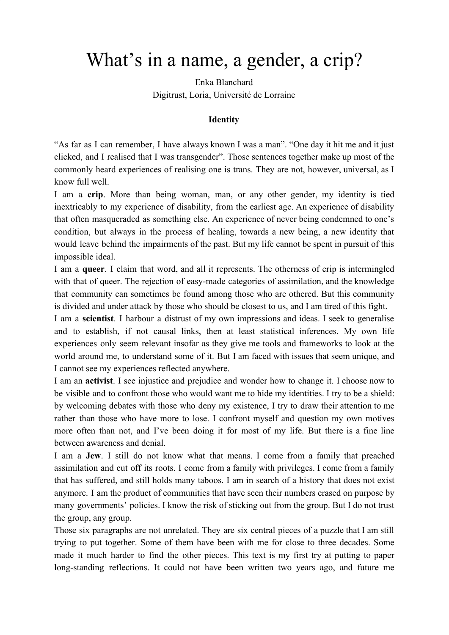# What's in a name, a gender, a crip?

Enka Blanchard Digitrust, Loria, Université de Lorraine

# **Identity**

"As far as I can remember, I have always known I was a man". "One day it hit me and it just clicked, and I realised that I was transgender". Those sentences together make up most of the commonly heard experiences of realising one is trans. They are not, however, universal, as I know full well.

I am a **crip**. More than being woman, man, or any other gender, my identity is tied inextricably to my experience of disability, from the earliest age. An experience of disability that often masqueraded as something else. An experience of never being condemned to one's condition, but always in the process of healing, towards a new being, a new identity that would leave behind the impairments of the past. But my life cannot be spent in pursuit of this impossible ideal.

I am a **queer**. I claim that word, and all it represents. The otherness of crip is intermingled with that of queer. The rejection of easy-made categories of assimilation, and the knowledge that community can sometimes be found among those who are othered. But this community is divided and under attack by those who should be closest to us, and I am tired of this fight.

I am a **scientist**. I harbour a distrust of my own impressions and ideas. I seek to generalise and to establish, if not causal links, then at least statistical inferences. My own life experiences only seem relevant insofar as they give me tools and frameworks to look at the world around me, to understand some of it. But I am faced with issues that seem unique, and I cannot see my experiences reflected anywhere.

I am an **activist**. I see injustice and prejudice and wonder how to change it. I choose now to be visible and to confront those who would want me to hide my identities. I try to be a shield: by welcoming debates with those who deny my existence, I try to draw their attention to me rather than those who have more to lose. I confront myself and question my own motives more often than not, and I've been doing it for most of my life. But there is a fine line between awareness and denial.

I am a **Jew**. I still do not know what that means. I come from a family that preached assimilation and cut off its roots. I come from a family with privileges. I come from a family that has suffered, and still holds many taboos. I am in search of a history that does not exist anymore. I am the product of communities that have seen their numbers erased on purpose by many governments' policies. I know the risk of sticking out from the group. But I do not trust the group, any group.

Those six paragraphs are not unrelated. They are six central pieces of a puzzle that I am still trying to put together. Some of them have been with me for close to three decades. Some made it much harder to find the other pieces. This text is my first try at putting to paper long-standing reflections. It could not have been written two years ago, and future me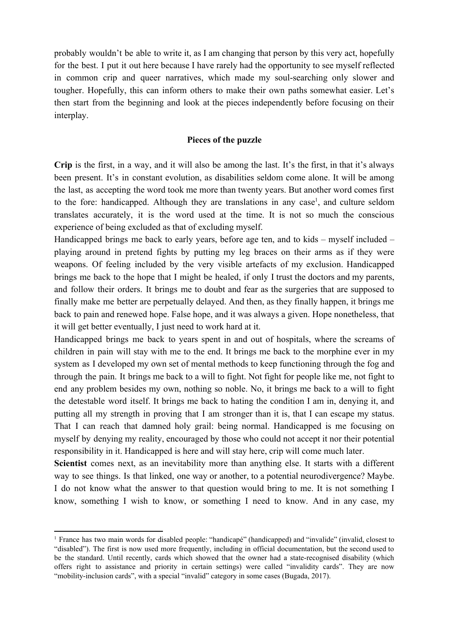probably wouldn't be able to write it, as I am changing that person by this very act, hopefully for the best. I put it out here because I have rarely had the opportunity to see myself reflected in common crip and queer narratives, which made my soul-searching only slower and tougher. Hopefully, this can inform others to make their own paths somewhat easier. Let's then start from the beginning and look at the pieces independently before focusing on their interplay.

# **Pieces of the puzzle**

**Crip** is the first, in a way, and it will also be among the last. It's the first, in that it's always been present. It's in constant evolution, as disabilities seldom come alone. It will be among the last, as accepting the word took me more than twenty years. But another word comes first to the fore: handicapped. Although they are translations in any case<sup>1</sup>, and culture seldom translates accurately, it is the word used at the time. It is not so much the conscious experience of being excluded as that of excluding myself.

Handicapped brings me back to early years, before age ten, and to kids – myself included – playing around in pretend fights by putting my leg braces on their arms as if they were weapons. Of feeling included by the very visible artefacts of my exclusion. Handicapped brings me back to the hope that I might be healed, if only I trust the doctors and my parents, and follow their orders. It brings me to doubt and fear as the surgeries that are supposed to finally make me better are perpetually delayed. And then, as they finally happen, it brings me back to pain and renewed hope. False hope, and it was always a given. Hope nonetheless, that it will get better eventually, I just need to work hard at it.

Handicapped brings me back to years spent in and out of hospitals, where the screams of children in pain will stay with me to the end. It brings me back to the morphine ever in my system as I developed my own set of mental methods to keep functioning through the fog and through the pain. It brings me back to a will to fight. Not fight for people like me, not fight to end any problem besides my own, nothing so noble. No, it brings me back to a will to fight the detestable word itself. It brings me back to hating the condition I am in, denying it, and putting all my strength in proving that I am stronger than it is, that I can escape my status. That I can reach that damned holy grail: being normal. Handicapped is me focusing on myself by denying my reality, encouraged by those who could not accept it nor their potential responsibility in it. Handicapped is here and will stay here, crip will come much later.

**Scientist** comes next, as an inevitability more than anything else. It starts with a different way to see things. Is that linked, one way or another, to a potential neurodivergence? Maybe. I do not know what the answer to that question would bring to me. It is not something I know, something I wish to know, or something I need to know. And in any case, my

<sup>1</sup> France has two main words for disabled people: "handicapé" (handicapped) and "invalide" (invalid, closest to "disabled"). The first is now used more frequently, including in official documentation, but the second used to be the standard. Until recently, cards which showed that the owner had a state-recognised disability (which offers right to assistance and priority in certain settings) were called "invalidity cards". They are now "mobility-inclusion cards", with a special "invalid" category in some cases (Bugada, 2017).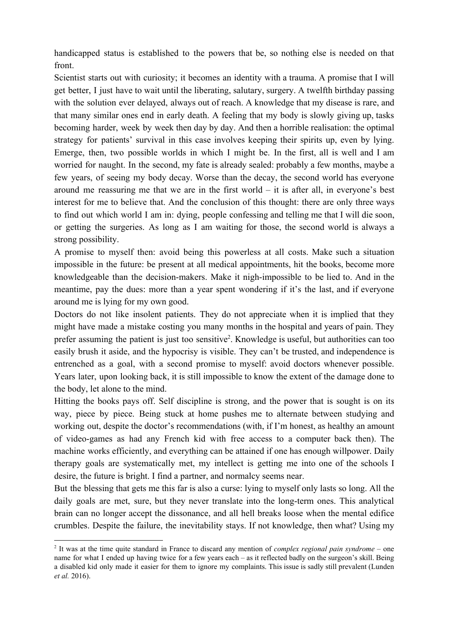handicapped status is established to the powers that be, so nothing else is needed on that front.

Scientist starts out with curiosity; it becomes an identity with a trauma. A promise that I will get better, I just have to wait until the liberating, salutary, surgery. A twelfth birthday passing with the solution ever delayed, always out of reach. A knowledge that my disease is rare, and that many similar ones end in early death. A feeling that my body is slowly giving up, tasks becoming harder, week by week then day by day. And then a horrible realisation: the optimal strategy for patients' survival in this case involves keeping their spirits up, even by lying. Emerge, then, two possible worlds in which I might be. In the first, all is well and I am worried for naught. In the second, my fate is already sealed: probably a few months, maybe a few years, of seeing my body decay. Worse than the decay, the second world has everyone around me reassuring me that we are in the first world – it is after all, in everyone's best interest for me to believe that. And the conclusion of this thought: there are only three ways to find out which world I am in: dying, people confessing and telling me that I will die soon, or getting the surgeries. As long as I am waiting for those, the second world is always a strong possibility.

A promise to myself then: avoid being this powerless at all costs. Make such a situation impossible in the future: be present at all medical appointments, hit the books, become more knowledgeable than the decision-makers. Make it nigh-impossible to be lied to. And in the meantime, pay the dues: more than a year spent wondering if it's the last, and if everyone around me is lying for my own good.

Doctors do not like insolent patients. They do not appreciate when it is implied that they might have made a mistake costing you many months in the hospital and years of pain. They prefer assuming the patient is just too sensitive<sup>2</sup>. Knowledge is useful, but authorities can too easily brush it aside, and the hypocrisy is visible. They can't be trusted, and independence is entrenched as a goal, with a second promise to myself: avoid doctors whenever possible. Years later, upon looking back, it is still impossible to know the extent of the damage done to the body, let alone to the mind.

Hitting the books pays off. Self discipline is strong, and the power that is sought is on its way, piece by piece. Being stuck at home pushes me to alternate between studying and working out, despite the doctor's recommendations (with, if I'm honest, as healthy an amount of video-games as had any French kid with free access to a computer back then). The machine works efficiently, and everything can be attained if one has enough willpower. Daily therapy goals are systematically met, my intellect is getting me into one of the schools I desire, the future is bright. I find a partner, and normalcy seems near.

But the blessing that gets me this far is also a curse: lying to myself only lasts so long. All the daily goals are met, sure, but they never translate into the long-term ones. This analytical brain can no longer accept the dissonance, and all hell breaks loose when the mental edifice crumbles. Despite the failure, the inevitability stays. If not knowledge, then what? Using my

<sup>2</sup> It was at the time quite standard in France to discard any mention of *complex regional pain syndrome* – one name for what I ended up having twice for a few years each – as it reflected badly on the surgeon's skill. Being a disabled kid only made it easier for them to ignore my complaints. This issue is sadly still prevalent (Lunden *et al.* 2016).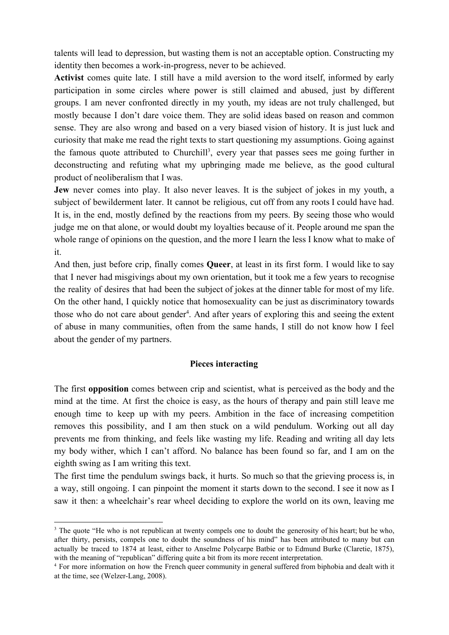talents will lead to depression, but wasting them is not an acceptable option. Constructing my identity then becomes a work-in-progress, never to be achieved.

**Activist** comes quite late. I still have a mild aversion to the word itself, informed by early participation in some circles where power is still claimed and abused, just by different groups. I am never confronted directly in my youth, my ideas are not truly challenged, but mostly because I don't dare voice them. They are solid ideas based on reason and common sense. They are also wrong and based on a very biased vision of history. It is just luck and curiosity that make me read the right texts to start questioning my assumptions. Going against the famous quote attributed to Churchill<sup>3</sup>, every year that passes sees me going further in deconstructing and refuting what my upbringing made me believe, as the good cultural product of neoliberalism that I was.

**Jew** never comes into play. It also never leaves. It is the subject of jokes in my youth, a subject of bewilderment later. It cannot be religious, cut off from any roots I could have had. It is, in the end, mostly defined by the reactions from my peers. By seeing those who would judge me on that alone, or would doubt my loyalties because of it. People around me span the whole range of opinions on the question, and the more I learn the less I know what to make of it.

And then, just before crip, finally comes **Queer**, at least in its first form. I would like to say that I never had misgivings about my own orientation, but it took me a few years to recognise the reality of desires that had been the subject of jokes at the dinner table for most of my life. On the other hand, I quickly notice that homosexuality can be just as discriminatory towards those who do not care about gender<sup>4</sup>. And after years of exploring this and seeing the extent of abuse in many communities, often from the same hands, I still do not know how I feel about the gender of my partners.

### **Pieces interacting**

The first **opposition** comes between crip and scientist, what is perceived as the body and the mind at the time. At first the choice is easy, as the hours of therapy and pain still leave me enough time to keep up with my peers. Ambition in the face of increasing competition removes this possibility, and I am then stuck on a wild pendulum. Working out all day prevents me from thinking, and feels like wasting my life. Reading and writing all day lets my body wither, which I can't afford. No balance has been found so far, and I am on the eighth swing as I am writing this text.

The first time the pendulum swings back, it hurts. So much so that the grieving process is, in a way, still ongoing. I can pinpoint the moment it starts down to the second. I see it now as I saw it then: a wheelchair's rear wheel deciding to explore the world on its own, leaving me

<sup>&</sup>lt;sup>3</sup> The quote "He who is not republican at twenty compels one to doubt the generosity of his heart; but he who, after thirty, persists, compels one to doubt the soundness of his mind" has been attributed to many but can actually be traced to 1874 at least, either to Anselme Polycarpe Batbie or to Edmund Burke (Claretie, 1875), with the meaning of "republican" differing quite a bit from its more recent interpretation.

<sup>4</sup> For more information on how the French queer community in general suffered from biphobia and dealt with it at the time, see (Welzer-Lang, 2008).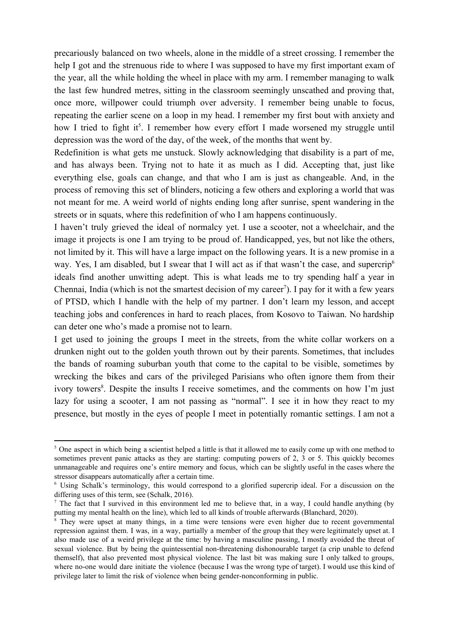precariously balanced on two wheels, alone in the middle of a street crossing. I remember the help I got and the strenuous ride to where I was supposed to have my first important exam of the year, all the while holding the wheel in place with my arm. I remember managing to walk the last few hundred metres, sitting in the classroom seemingly unscathed and proving that, once more, willpower could triumph over adversity. I remember being unable to focus, repeating the earlier scene on a loop in my head. I remember my first bout with anxiety and how I tried to fight it<sup>5</sup>. I remember how every effort I made worsened my struggle until depression was the word of the day, of the week, of the months that went by.

Redefinition is what gets me unstuck. Slowly acknowledging that disability is a part of me, and has always been. Trying not to hate it as much as I did. Accepting that, just like everything else, goals can change, and that who I am is just as changeable. And, in the process of removing this set of blinders, noticing a few others and exploring a world that was not meant for me. A weird world of nights ending long after sunrise, spent wandering in the streets or in squats, where this redefinition of who I am happens continuously.

I haven't truly grieved the ideal of normalcy yet. I use a scooter, not a wheelchair, and the image it projects is one I am trying to be proud of. Handicapped, yes, but not like the others, not limited by it. This will have a large impact on the following years. It is a new promise in a way. Yes, I am disabled, but I swear that I will act as if that wasn't the case, and supercrip<sup>6</sup> ideals find another unwitting adept. This is what leads me to try spending half a year in Chennai, India (which is not the smartest decision of my career<sup>7</sup>). I pay for it with a few years of PTSD, which I handle with the help of my partner. I don't learn my lesson, and accept teaching jobs and conferences in hard to reach places, from Kosovo to Taiwan. No hardship can deter one who's made a promise not to learn.

I get used to joining the groups I meet in the streets, from the white collar workers on a drunken night out to the golden youth thrown out by their parents. Sometimes, that includes the bands of roaming suburban youth that come to the capital to be visible, sometimes by wrecking the bikes and cars of the privileged Parisians who often ignore them from their ivory towers<sup>8</sup>. Despite the insults I receive sometimes, and the comments on how I'm just lazy for using a scooter, I am not passing as "normal". I see it in how they react to my presence, but mostly in the eyes of people I meet in potentially romantic settings. I am not a

<sup>&</sup>lt;sup>5</sup> One aspect in which being a scientist helped a little is that it allowed me to easily come up with one method to sometimes prevent panic attacks as they are starting: computing powers of 2, 3 or 5. This quickly becomes unmanageable and requires one's entire memory and focus, which can be slightly useful in the cases where the stressor disappears automatically after a certain time.

<sup>6</sup> Using Schalk's terminology, this would correspond to a glorified supercrip ideal. For a discussion on the differing uses of this term, see (Schalk, 2016).

<sup>&</sup>lt;sup>7</sup> The fact that I survived in this environment led me to believe that, in a way, I could handle anything (by putting my mental health on the line), which led to all kinds of trouble afterwards (Blanchard, 2020).

<sup>&</sup>lt;sup>8</sup> They were upset at many things, in a time were tensions were even higher due to recent governmental repression against them. I was, in a way, partially a member of the group that they were legitimately upset at. I also made use of a weird privilege at the time: by having a masculine passing, I mostly avoided the threat of sexual violence. But by being the quintessential non-threatening dishonourable target (a crip unable to defend themself), that also prevented most physical violence. The last bit was making sure I only talked to groups, where no-one would dare initiate the violence (because I was the wrong type of target). I would use this kind of privilege later to limit the risk of violence when being gender-nonconforming in public.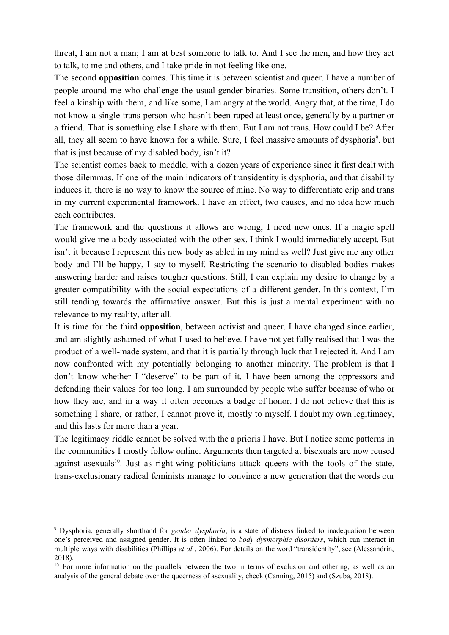threat, I am not a man; I am at best someone to talk to. And I see the men, and how they act to talk, to me and others, and I take pride in not feeling like one.

The second **opposition** comes. This time it is between scientist and queer. I have a number of people around me who challenge the usual gender binaries. Some transition, others don't. I feel a kinship with them, and like some, I am angry at the world. Angry that, at the time, I do not know a single trans person who hasn't been raped at least once, generally by a partner or a friend. That is something else I share with them. But I am not trans. How could I be? After all, they all seem to have known for a while. Sure, I feel massive amounts of dysphoria<sup>9</sup>, but that is just because of my disabled body, isn't it?

The scientist comes back to meddle, with a dozen years of experience since it first dealt with those dilemmas. If one of the main indicators of transidentity is dysphoria, and that disability induces it, there is no way to know the source of mine. No way to differentiate crip and trans in my current experimental framework. I have an effect, two causes, and no idea how much each contributes.

The framework and the questions it allows are wrong, I need new ones. If a magic spell would give me a body associated with the other sex, I think I would immediately accept. But isn't it because I represent this new body as abled in my mind as well? Just give me any other body and I'll be happy, I say to myself. Restricting the scenario to disabled bodies makes answering harder and raises tougher questions. Still, I can explain my desire to change by a greater compatibility with the social expectations of a different gender. In this context, I'm still tending towards the affirmative answer. But this is just a mental experiment with no relevance to my reality, after all.

It is time for the third **opposition**, between activist and queer. I have changed since earlier, and am slightly ashamed of what I used to believe. I have not yet fully realised that I was the product of a well-made system, and that it is partially through luck that I rejected it. And I am now confronted with my potentially belonging to another minority. The problem is that I don't know whether I "deserve" to be part of it. I have been among the oppressors and defending their values for too long. I am surrounded by people who suffer because of who or how they are, and in a way it often becomes a badge of honor. I do not believe that this is something I share, or rather, I cannot prove it, mostly to myself. I doubt my own legitimacy, and this lasts for more than a year.

The legitimacy riddle cannot be solved with the a prioris I have. But I notice some patterns in the communities I mostly follow online. Arguments then targeted at bisexuals are now reused against asexuals<sup>10</sup>. Just as right-wing politicians attack queers with the tools of the state, trans-exclusionary radical feminists manage to convince a new generation that the words our

<sup>9</sup> Dysphoria, generally shorthand for *gender dysphoria*, is a state of distress linked to inadequation between one's perceived and assigned gender. It is often linked to *body dysmorphic disorders*, which can interact in multiple ways with disabilities (Phillips *et al.*, 2006). For details on the word "transidentity", see (Alessandrin, 2018).

<sup>&</sup>lt;sup>10</sup> For more information on the parallels between the two in terms of exclusion and othering, as well as an analysis of the general debate over the queerness of asexuality, check (Canning, 2015) and (Szuba, 2018).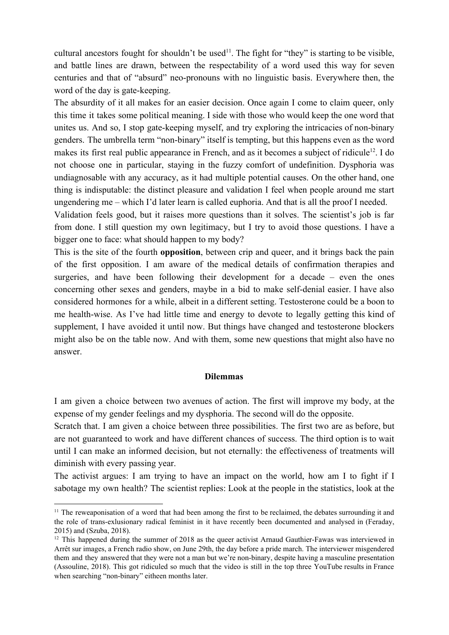cultural ancestors fought for shouldn't be used<sup>11</sup>. The fight for "they" is starting to be visible, and battle lines are drawn, between the respectability of a word used this way for seven centuries and that of "absurd" neo-pronouns with no linguistic basis. Everywhere then, the word of the day is gate-keeping.

The absurdity of it all makes for an easier decision. Once again I come to claim queer, only this time it takes some political meaning. I side with those who would keep the one word that unites us. And so, I stop gate-keeping myself, and try exploring the intricacies of non-binary genders. The umbrella term "non-binary" itself is tempting, but this happens even as the word makes its first real public appearance in French, and as it becomes a subject of ridicule<sup>12</sup>. I do not choose one in particular, staying in the fuzzy comfort of undefinition. Dysphoria was undiagnosable with any accuracy, as it had multiple potential causes. On the other hand, one thing is indisputable: the distinct pleasure and validation I feel when people around me start ungendering me – which I'd later learn is called euphoria. And that is all the proof I needed.

Validation feels good, but it raises more questions than it solves. The scientist's job is far from done. I still question my own legitimacy, but I try to avoid those questions. I have a bigger one to face: what should happen to my body?

This is the site of the fourth **opposition**, between crip and queer, and it brings back the pain of the first opposition. I am aware of the medical details of confirmation therapies and surgeries, and have been following their development for a decade – even the ones concerning other sexes and genders, maybe in a bid to make self-denial easier. I have also considered hormones for a while, albeit in a different setting. Testosterone could be a boon to me health-wise. As I've had little time and energy to devote to legally getting this kind of supplement, I have avoided it until now. But things have changed and testosterone blockers might also be on the table now. And with them, some new questions that might also have no answer.

#### **Dilemmas**

I am given a choice between two avenues of action. The first will improve my body, at the expense of my gender feelings and my dysphoria. The second will do the opposite.

Scratch that. I am given a choice between three possibilities. The first two are as before, but are not guaranteed to work and have different chances of success. The third option is to wait until I can make an informed decision, but not eternally: the effectiveness of treatments will diminish with every passing year.

The activist argues: I am trying to have an impact on the world, how am I to fight if I sabotage my own health? The scientist replies: Look at the people in the statistics, look at the

<sup>&</sup>lt;sup>11</sup> The reweaponisation of a word that had been among the first to be reclaimed, the debates surrounding it and the role of trans-exlusionary radical feminist in it have recently been documented and analysed in (Feraday, 2015) and (Szuba, 2018).

 $12$  This happened during the summer of 2018 as the queer activist Arnaud Gauthier-Fawas was interviewed in Arrêt sur images, a French radio show, on June 29th, the day before a pride march. The interviewer misgendered them and they answered that they were not a man but we're non-binary, despite having a masculine presentation (Assouline, 2018). This got ridiculed so much that the video is still in the top three YouTube results in France when searching "non-binary" eitheen months later.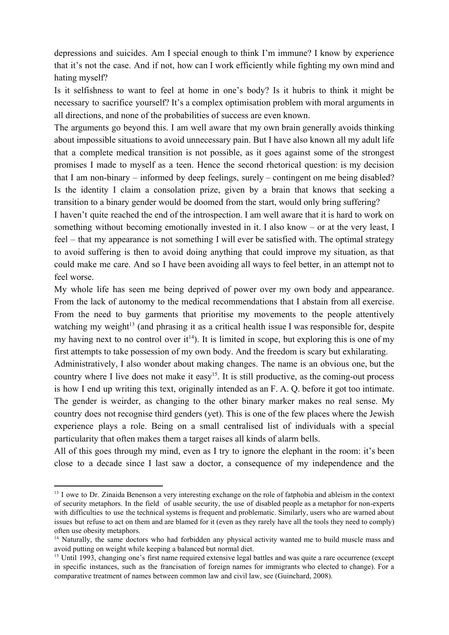depressions and suicides. Am I special enough to think I'm immune? I know by experience that it's not the case. And if not, how can I work efficiently while fighting my own mind and hating myself?

Is it selfishness to want to feel at home in one's body? Is it hubris to think it might be necessary to sacrifice yourself? It's a complex optimisation problem with moral arguments in all directions, and none of the probabilities of success are even known.

The arguments go beyond this. I am well aware that my own brain generally avoids thinking about impossible situations to avoid unnecessary pain. But I have also known all my adult life that a complete medical transition is not possible, as it goes against some of the strongest promises I made to myself as a teen. Hence the second rhetorical question: is my decision that I am non-binary – informed by deep feelings, surely – contingent on me being disabled? Is the identity I claim a consolation prize, given by a brain that knows that seeking a transition to a binary gender would be doomed from the start, would only bring suffering?

I haven't quite reached the end of the introspection. I am well aware that it is hard to work on something without becoming emotionally invested in it. I also know – or at the very least, I feel – that my appearance is not something I will ever be satisfied with. The optimal strategy to avoid suffering is then to avoid doing anything that could improve my situation, as that could make me care. And so I have been avoiding all ways to feel better, in an attempt not to feel worse.

My whole life has seen me being deprived of power over my own body and appearance. From the lack of autonomy to the medical recommendations that I abstain from all exercise. From the need to buy garments that prioritise my movements to the people attentively watching my weight $13$  (and phrasing it as a critical health issue I was responsible for, despite my having next to no control over  $it^{14}$ ). It is limited in scope, but exploring this is one of my first attempts to take possession of my own body. And the freedom is scary but exhilarating.

Administratively, I also wonder about making changes. The name is an obvious one, but the country where I live does not make it easy<sup>15</sup>. It is still productive, as the coming-out process is how I end up writing this text, originally intended as an F. A. Q. before it got too intimate. The gender is weirder, as changing to the other binary marker makes no real sense. My country does not recognise third genders (yet). This is one of the few places where the Jewish experience plays a role. Being on a small centralised list of individuals with a special particularity that often makes them a target raises all kinds of alarm bells.

All of this goes through my mind, even as I try to ignore the elephant in the room: it's been close to a decade since I last saw a doctor, a consequence of my independence and the

<sup>&</sup>lt;sup>13</sup> I owe to Dr. Zinaida Benenson a very interesting exchange on the role of fatphobia and ableism in the context of security metaphors. In the field of usable security, the use of disabled people as a metaphor for non-experts with difficulties to use the technical systems is frequent and problematic. Similarly, users who are warned about issues but refuse to act on them and are blamed for it (even as they rarely have all the tools they need to comply) often use obesity metaphors.

<sup>&</sup>lt;sup>14</sup> Naturally, the same doctors who had forbidden any physical activity wanted me to build muscle mass and avoid putting on weight while keeping a balanced but normal diet.

<sup>&</sup>lt;sup>15</sup> Until 1993, changing one's first name required extensive legal battles and was quite a rare occurrence (except in specific instances, such as the francisation of foreign names for immigrants who elected to change). For a comparative treatment of names between common law and civil law, see (Guinchard, 2008).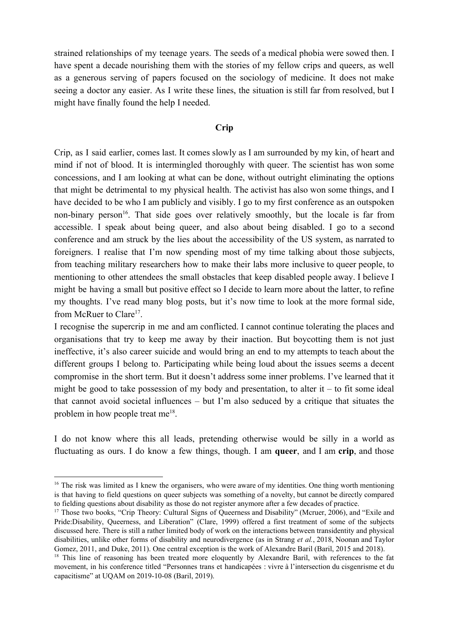strained relationships of my teenage years. The seeds of a medical phobia were sowed then. I have spent a decade nourishing them with the stories of my fellow crips and queers, as well as a generous serving of papers focused on the sociology of medicine. It does not make seeing a doctor any easier. As I write these lines, the situation is still far from resolved, but I might have finally found the help I needed.

## **Crip**

Crip, as I said earlier, comes last. It comes slowly as I am surrounded by my kin, of heart and mind if not of blood. It is intermingled thoroughly with queer. The scientist has won some concessions, and I am looking at what can be done, without outright eliminating the options that might be detrimental to my physical health. The activist has also won some things, and I have decided to be who I am publicly and visibly. I go to my first conference as an outspoken non-binary person<sup>16</sup>. That side goes over relatively smoothly, but the locale is far from accessible. I speak about being queer, and also about being disabled. I go to a second conference and am struck by the lies about the accessibility of the US system, as narrated to foreigners. I realise that I'm now spending most of my time talking about those subjects, from teaching military researchers how to make their labs more inclusive to queer people, to mentioning to other attendees the small obstacles that keep disabled people away. I believe I might be having a small but positive effect so I decide to learn more about the latter, to refine my thoughts. I've read many blog posts, but it's now time to look at the more formal side, from McRuer to Clare<sup>17</sup>.

I recognise the supercrip in me and am conflicted. I cannot continue tolerating the places and organisations that try to keep me away by their inaction. But boycotting them is not just ineffective, it's also career suicide and would bring an end to my attempts to teach about the different groups I belong to. Participating while being loud about the issues seems a decent compromise in the short term. But it doesn't address some inner problems. I've learned that it might be good to take possession of my body and presentation, to alter it – to fit some ideal that cannot avoid societal influences – but I'm also seduced by a critique that situates the problem in how people treat  $me^{18}$ .

I do not know where this all leads, pretending otherwise would be silly in a world as fluctuating as ours. I do know a few things, though. I am **queer**, and I am **crip**, and those

<sup>&</sup>lt;sup>16</sup> The risk was limited as I knew the organisers, who were aware of my identities. One thing worth mentioning is that having to field questions on queer subjects was something of a novelty, but cannot be directly compared to fielding questions about disability as those do not register anymore after a few decades of practice.

<sup>&</sup>lt;sup>17</sup> Those two books, "Crip Theory: Cultural Signs of Queerness and Disability" (Mcruer, 2006), and "Exile and Pride:Disability, Queerness, and Liberation" (Clare, 1999) offered a first treatment of some of the subjects discussed here. There is still a rather limited body of work on the interactions between transidentity and physical disabilities, unlike other forms of disability and neurodivergence (as in Strang *et al.*, 2018, Noonan and Taylor Gomez, 2011, and Duke, 2011). One central exception is the work of Alexandre Baril (Baril, 2015 and 2018).

<sup>&</sup>lt;sup>18</sup> This line of reasoning has been treated more eloquently by Alexandre Baril, with references to the fat movement, in his conference titled "Personnes trans et handicapées : vivre à l'intersection du cisgenrisme et du capacitisme" at UQAM on 2019-10-08 (Baril, 2019).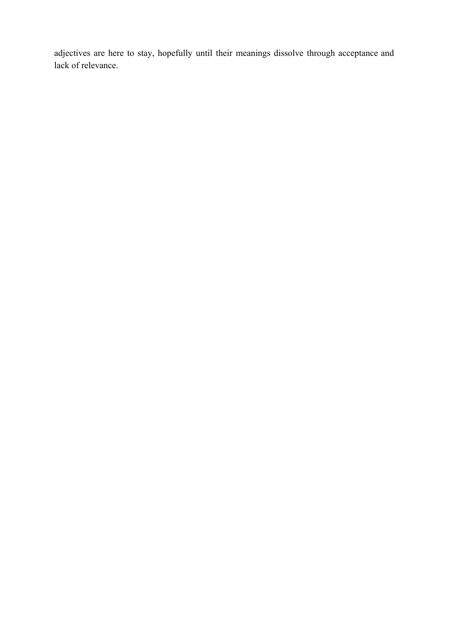adjectives are here to stay, hopefully until their meanings dissolve through acceptance and lack of relevance.